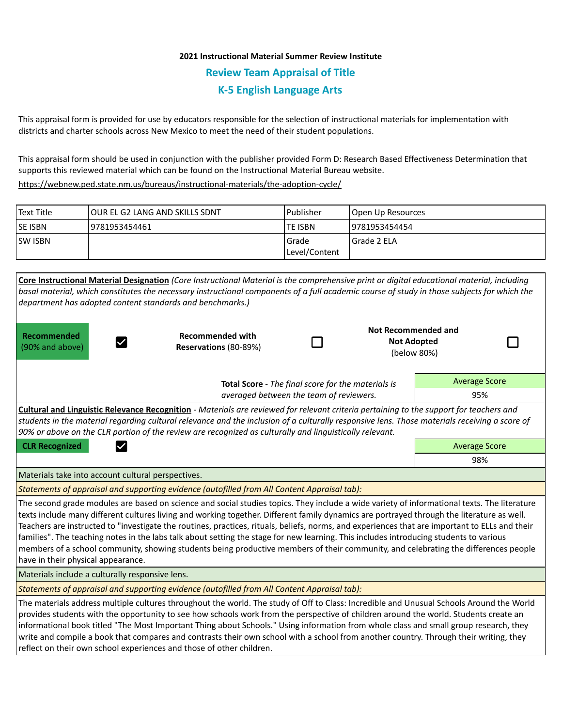## **2021 Instructional Material Summer Review Institute Review Team Appraisal of Title K-5 English Language Arts**

This appraisal form is provided for use by educators responsible for the selection of instructional materials for implementation with districts and charter schools across New Mexico to meet the need of their student populations.

This appraisal form should be used in conjunction with the publisher provided Form D: Research Based Effectiveness Determination that supports this reviewed material which can be found on the Instructional Material Bureau website.

<https://webnew.ped.state.nm.us/bureaus/instructional-materials/the-adoption-cycle/>

| Text Title     | lOUR EL G2 LANG AND SKILLS SDNT | l Publisher               | Open Up Resources |  |
|----------------|---------------------------------|---------------------------|-------------------|--|
| <b>SE ISBN</b> | 9781953454461                   | lte ISBN                  | 19781953454454    |  |
| <b>SW ISBN</b> |                                 | l Grade<br> Level/Content | Grade 2 ELA       |  |

| department has adopted content standards and benchmarks.)                                                                                                                                                                                                                                                                                                                                                                                                                                                                                                                                                                                                                                                                                                          | Core Instructional Material Designation (Core Instructional Material is the comprehensive print or digital educational material, including<br>basal material, which constitutes the necessary instructional components of a full academic course of study in those subjects for which the |                                                                            |                                                                 |                      |  |  |  |
|--------------------------------------------------------------------------------------------------------------------------------------------------------------------------------------------------------------------------------------------------------------------------------------------------------------------------------------------------------------------------------------------------------------------------------------------------------------------------------------------------------------------------------------------------------------------------------------------------------------------------------------------------------------------------------------------------------------------------------------------------------------------|-------------------------------------------------------------------------------------------------------------------------------------------------------------------------------------------------------------------------------------------------------------------------------------------|----------------------------------------------------------------------------|-----------------------------------------------------------------|----------------------|--|--|--|
| <b>Recommended</b><br>$\checkmark$<br>(90% and above)                                                                                                                                                                                                                                                                                                                                                                                                                                                                                                                                                                                                                                                                                                              | <b>Recommended with</b><br>Reservations (80-89%)                                                                                                                                                                                                                                          |                                                                            | <b>Not Recommended and</b><br><b>Not Adopted</b><br>(below 80%) |                      |  |  |  |
|                                                                                                                                                                                                                                                                                                                                                                                                                                                                                                                                                                                                                                                                                                                                                                    |                                                                                                                                                                                                                                                                                           | <b>Average Score</b><br>Total Score - The final score for the materials is |                                                                 |                      |  |  |  |
| averaged between the team of reviewers.                                                                                                                                                                                                                                                                                                                                                                                                                                                                                                                                                                                                                                                                                                                            |                                                                                                                                                                                                                                                                                           |                                                                            |                                                                 | 95%                  |  |  |  |
| Cultural and Linguistic Relevance Recognition - Materials are reviewed for relevant criteria pertaining to the support for teachers and<br>students in the material regarding cultural relevance and the inclusion of a culturally responsive lens. Those materials receiving a score of<br>90% or above on the CLR portion of the review are recognized as culturally and linguistically relevant.                                                                                                                                                                                                                                                                                                                                                                |                                                                                                                                                                                                                                                                                           |                                                                            |                                                                 |                      |  |  |  |
| <b>CLR Recognized</b><br>$\checkmark$                                                                                                                                                                                                                                                                                                                                                                                                                                                                                                                                                                                                                                                                                                                              |                                                                                                                                                                                                                                                                                           |                                                                            |                                                                 | <b>Average Score</b> |  |  |  |
|                                                                                                                                                                                                                                                                                                                                                                                                                                                                                                                                                                                                                                                                                                                                                                    |                                                                                                                                                                                                                                                                                           |                                                                            |                                                                 | 98%                  |  |  |  |
| Materials take into account cultural perspectives.                                                                                                                                                                                                                                                                                                                                                                                                                                                                                                                                                                                                                                                                                                                 |                                                                                                                                                                                                                                                                                           |                                                                            |                                                                 |                      |  |  |  |
| Statements of appraisal and supporting evidence (autofilled from All Content Appraisal tab):                                                                                                                                                                                                                                                                                                                                                                                                                                                                                                                                                                                                                                                                       |                                                                                                                                                                                                                                                                                           |                                                                            |                                                                 |                      |  |  |  |
| The second grade modules are based on science and social studies topics. They include a wide variety of informational texts. The literature<br>texts include many different cultures living and working together. Different family dynamics are portrayed through the literature as well.<br>Teachers are instructed to "investigate the routines, practices, rituals, beliefs, norms, and experiences that are important to ELLs and their<br>families". The teaching notes in the labs talk about setting the stage for new learning. This includes introducing students to various<br>members of a school community, showing students being productive members of their community, and celebrating the differences people<br>have in their physical appearance. |                                                                                                                                                                                                                                                                                           |                                                                            |                                                                 |                      |  |  |  |
| Materials include a culturally responsive lens.                                                                                                                                                                                                                                                                                                                                                                                                                                                                                                                                                                                                                                                                                                                    |                                                                                                                                                                                                                                                                                           |                                                                            |                                                                 |                      |  |  |  |
| Statements of appraisal and supporting evidence (autofilled from All Content Appraisal tab):                                                                                                                                                                                                                                                                                                                                                                                                                                                                                                                                                                                                                                                                       |                                                                                                                                                                                                                                                                                           |                                                                            |                                                                 |                      |  |  |  |
| The materials address multiple cultures throughout the world. The study of Off to Class: Incredible and Unusual Schools Around the World<br>provides students with the opportunity to see how schools work from the perspective of children around the world. Students create an<br>informational book titled "The Most Important Thing about Schools." Using information from whole class and small group research, they<br>write and compile a book that compares and contrasts their own school with a school from another country. Through their writing, they<br>reflect on their own school experiences and those of other children.                                                                                                                         |                                                                                                                                                                                                                                                                                           |                                                                            |                                                                 |                      |  |  |  |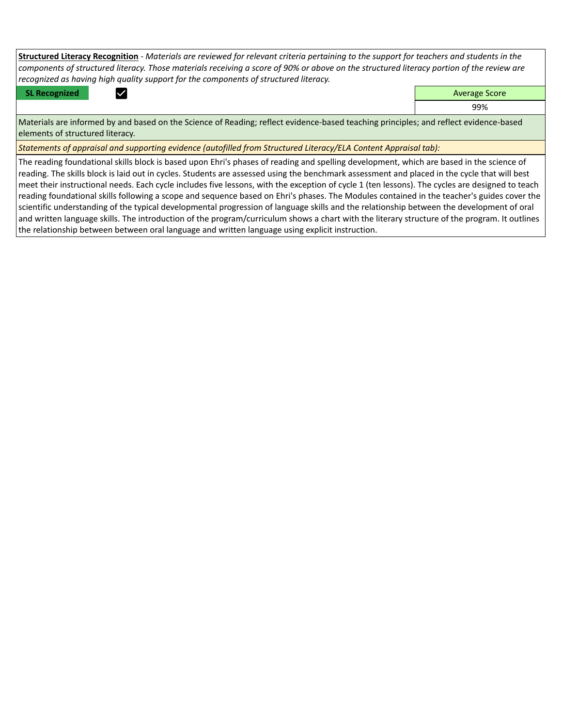**Structured Literacy Recognition** - *Materials are reviewed for relevant criteria pertaining to the support for teachers and students in the components of structured literacy. Those materials receiving a score of 90% or above on the structured literacy portion of the review are recognized as having high quality support for the components of structured literacy.*

**SL Recognized Average Score** Average Score and Average Score and Average Score and Average Score and Average Score

99%

Materials are informed by and based on the Science of Reading; reflect evidence-based teaching principles; and reflect evidence-based elements of structured literacy.

*Statements of appraisal and supporting evidence (autofilled from Structured Literacy/ELA Content Appraisal tab):* 

The reading foundational skills block is based upon Ehri's phases of reading and spelling development, which are based in the science of reading. The skills block is laid out in cycles. Students are assessed using the benchmark assessment and placed in the cycle that will best meet their instructional needs. Each cycle includes five lessons, with the exception of cycle 1 (ten lessons). The cycles are designed to teach reading foundational skills following a scope and sequence based on Ehri's phases. The Modules contained in the teacher's guides cover the scientific understanding of the typical developmental progression of language skills and the relationship between the development of oral and written language skills. The introduction of the program/curriculum shows a chart with the literary structure of the program. It outlines the relationship between between oral language and written language using explicit instruction.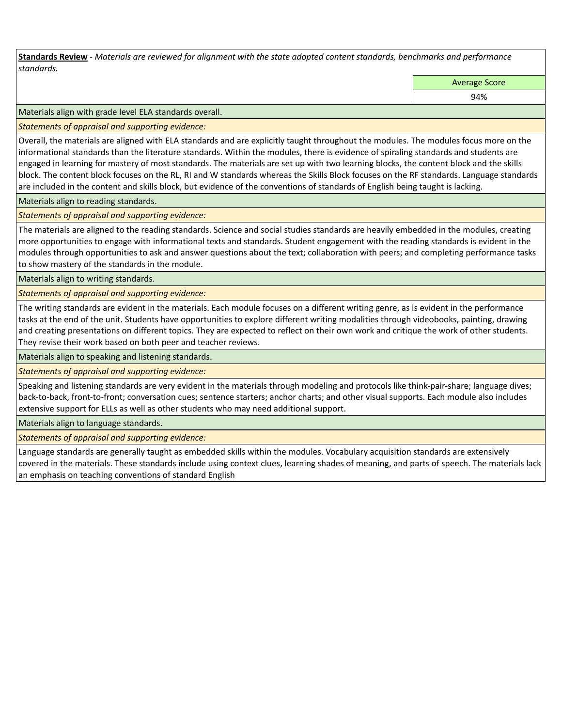**Standards Review** *- Materials are reviewed for alignment with the state adopted content standards, benchmarks and performance standards.*

Average Score

94%

Materials align with grade level ELA standards overall.

*Statements of appraisal and supporting evidence:* 

Overall, the materials are aligned with ELA standards and are explicitly taught throughout the modules. The modules focus more on the informational standards than the literature standards. Within the modules, there is evidence of spiraling standards and students are engaged in learning for mastery of most standards. The materials are set up with two learning blocks, the content block and the skills block. The content block focuses on the RL, RI and W standards whereas the Skills Block focuses on the RF standards. Language standards are included in the content and skills block, but evidence of the conventions of standards of English being taught is lacking.

Materials align to reading standards.

*Statements of appraisal and supporting evidence:* 

The materials are aligned to the reading standards. Science and social studies standards are heavily embedded in the modules, creating more opportunities to engage with informational texts and standards. Student engagement with the reading standards is evident in the modules through opportunities to ask and answer questions about the text; collaboration with peers; and completing performance tasks to show mastery of the standards in the module.

Materials align to writing standards.

*Statements of appraisal and supporting evidence:* 

The writing standards are evident in the materials. Each module focuses on a different writing genre, as is evident in the performance tasks at the end of the unit. Students have opportunities to explore different writing modalities through videobooks, painting, drawing and creating presentations on different topics. They are expected to reflect on their own work and critique the work of other students. They revise their work based on both peer and teacher reviews.

Materials align to speaking and listening standards.

*Statements of appraisal and supporting evidence:* 

Speaking and listening standards are very evident in the materials through modeling and protocols like think-pair-share; language dives; back-to-back, front-to-front; conversation cues; sentence starters; anchor charts; and other visual supports. Each module also includes extensive support for ELLs as well as other students who may need additional support.

Materials align to language standards.

*Statements of appraisal and supporting evidence:* 

Language standards are generally taught as embedded skills within the modules. Vocabulary acquisition standards are extensively covered in the materials. These standards include using context clues, learning shades of meaning, and parts of speech. The materials lack an emphasis on teaching conventions of standard English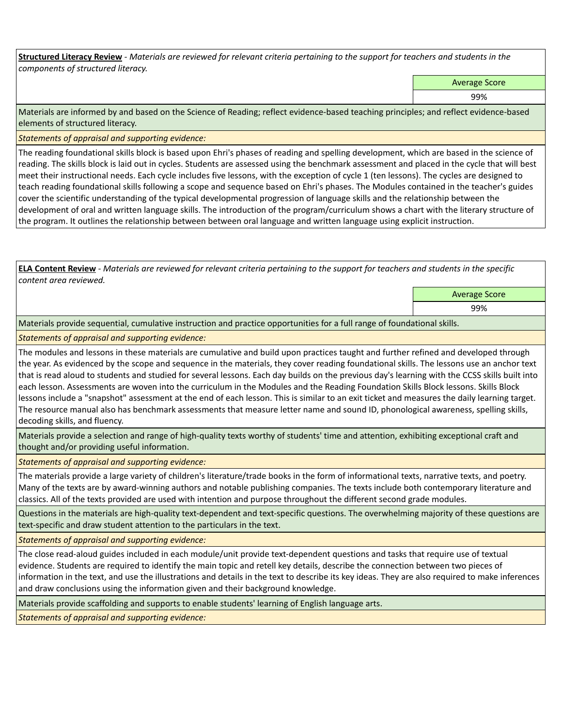**Structured Literacy Review** *- Materials are reviewed for relevant criteria pertaining to the support for teachers and students in the components of structured literacy.*

Average Score

99%

Materials are informed by and based on the Science of Reading; reflect evidence-based teaching principles; and reflect evidence-based elements of structured literacy.

*Statements of appraisal and supporting evidence:*

The reading foundational skills block is based upon Ehri's phases of reading and spelling development, which are based in the science of reading. The skills block is laid out in cycles. Students are assessed using the benchmark assessment and placed in the cycle that will best meet their instructional needs. Each cycle includes five lessons, with the exception of cycle 1 (ten lessons). The cycles are designed to teach reading foundational skills following a scope and sequence based on Ehri's phases. The Modules contained in the teacher's guides cover the scientific understanding of the typical developmental progression of language skills and the relationship between the development of oral and written language skills. The introduction of the program/curriculum shows a chart with the literary structure of the program. It outlines the relationship between between oral language and written language using explicit instruction.

**ELA Content Review** *- Materials are reviewed for relevant criteria pertaining to the support for teachers and students in the specific content area reviewed.*

Average Score

99%

Materials provide sequential, cumulative instruction and practice opportunities for a full range of foundational skills.

*Statements of appraisal and supporting evidence:* 

The modules and lessons in these materials are cumulative and build upon practices taught and further refined and developed through the year. As evidenced by the scope and sequence in the materials, they cover reading foundational skills. The lessons use an anchor text that is read aloud to students and studied for several lessons. Each day builds on the previous day's learning with the CCSS skills built into each lesson. Assessments are woven into the curriculum in the Modules and the Reading Foundation Skills Block lessons. Skills Block lessons include a "snapshot" assessment at the end of each lesson. This is similar to an exit ticket and measures the daily learning target. The resource manual also has benchmark assessments that measure letter name and sound ID, phonological awareness, spelling skills, decoding skills, and fluency.

Materials provide a selection and range of high-quality texts worthy of students' time and attention, exhibiting exceptional craft and thought and/or providing useful information.

*Statements of appraisal and supporting evidence:* 

The materials provide a large variety of children's literature/trade books in the form of informational texts, narrative texts, and poetry. Many of the texts are by award-winning authors and notable publishing companies. The texts include both contemporary literature and classics. All of the texts provided are used with intention and purpose throughout the different second grade modules.

Questions in the materials are high-quality text-dependent and text-specific questions. The overwhelming majority of these questions are text-specific and draw student attention to the particulars in the text.

*Statements of appraisal and supporting evidence:* 

The close read-aloud guides included in each module/unit provide text-dependent questions and tasks that require use of textual evidence. Students are required to identify the main topic and retell key details, describe the connection between two pieces of information in the text, and use the illustrations and details in the text to describe its key ideas. They are also required to make inferences and draw conclusions using the information given and their background knowledge.

Materials provide scaffolding and supports to enable students' learning of English language arts.

*Statements of appraisal and supporting evidence:*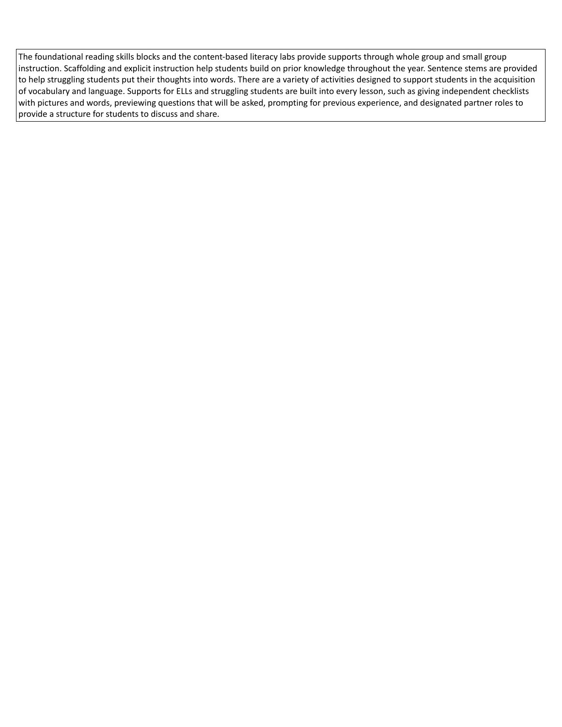The foundational reading skills blocks and the content-based literacy labs provide supports through whole group and small group instruction. Scaffolding and explicit instruction help students build on prior knowledge throughout the year. Sentence stems are provided to help struggling students put their thoughts into words. There are a variety of activities designed to support students in the acquisition of vocabulary and language. Supports for ELLs and struggling students are built into every lesson, such as giving independent checklists with pictures and words, previewing questions that will be asked, prompting for previous experience, and designated partner roles to provide a structure for students to discuss and share.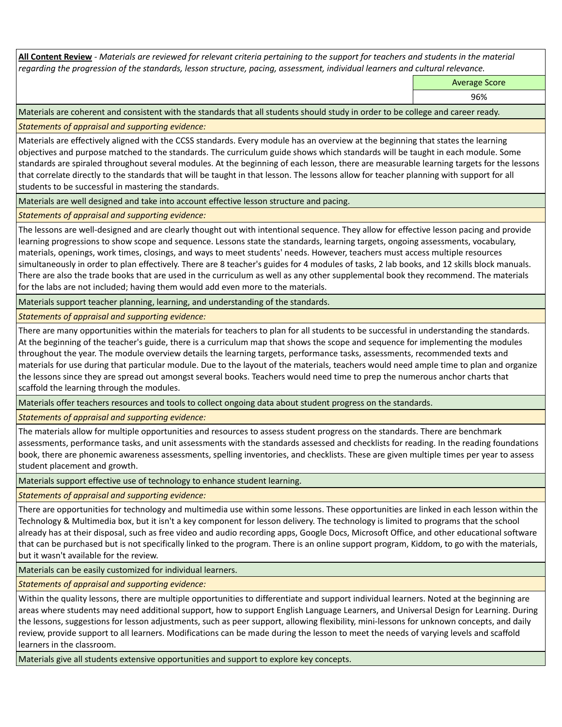**All Content Review** *- Materials are reviewed for relevant criteria pertaining to the support for teachers and students in the material regarding the progression of the standards, lesson structure, pacing, assessment, individual learners and cultural relevance.*

Average Score

96%

Materials are coherent and consistent with the standards that all students should study in order to be college and career ready.

*Statements of appraisal and supporting evidence:*

Materials are effectively aligned with the CCSS standards. Every module has an overview at the beginning that states the learning objectives and purpose matched to the standards. The curriculum guide shows which standards will be taught in each module. Some standards are spiraled throughout several modules. At the beginning of each lesson, there are measurable learning targets for the lessons that correlate directly to the standards that will be taught in that lesson. The lessons allow for teacher planning with support for all students to be successful in mastering the standards.

Materials are well designed and take into account effective lesson structure and pacing.

*Statements of appraisal and supporting evidence:*

The lessons are well-designed and are clearly thought out with intentional sequence. They allow for effective lesson pacing and provide learning progressions to show scope and sequence. Lessons state the standards, learning targets, ongoing assessments, vocabulary, materials, openings, work times, closings, and ways to meet students' needs. However, teachers must access multiple resources simultaneously in order to plan effectively. There are 8 teacher's guides for 4 modules of tasks, 2 lab books, and 12 skills block manuals. There are also the trade books that are used in the curriculum as well as any other supplemental book they recommend. The materials for the labs are not included; having them would add even more to the materials.

Materials support teacher planning, learning, and understanding of the standards.

*Statements of appraisal and supporting evidence:*

There are many opportunities within the materials for teachers to plan for all students to be successful in understanding the standards. At the beginning of the teacher's guide, there is a curriculum map that shows the scope and sequence for implementing the modules throughout the year. The module overview details the learning targets, performance tasks, assessments, recommended texts and materials for use during that particular module. Due to the layout of the materials, teachers would need ample time to plan and organize the lessons since they are spread out amongst several books. Teachers would need time to prep the numerous anchor charts that scaffold the learning through the modules.

Materials offer teachers resources and tools to collect ongoing data about student progress on the standards.

*Statements of appraisal and supporting evidence:*

The materials allow for multiple opportunities and resources to assess student progress on the standards. There are benchmark assessments, performance tasks, and unit assessments with the standards assessed and checklists for reading. In the reading foundations book, there are phonemic awareness assessments, spelling inventories, and checklists. These are given multiple times per year to assess student placement and growth.

Materials support effective use of technology to enhance student learning.

*Statements of appraisal and supporting evidence:*

There are opportunities for technology and multimedia use within some lessons. These opportunities are linked in each lesson within the Technology & Multimedia box, but it isn't a key component for lesson delivery. The technology is limited to programs that the school already has at their disposal, such as free video and audio recording apps, Google Docs, Microsoft Office, and other educational software that can be purchased but is not specifically linked to the program. There is an online support program, Kiddom, to go with the materials, but it wasn't available for the review.

Materials can be easily customized for individual learners.

*Statements of appraisal and supporting evidence:* 

Within the quality lessons, there are multiple opportunities to differentiate and support individual learners. Noted at the beginning are areas where students may need additional support, how to support English Language Learners, and Universal Design for Learning. During the lessons, suggestions for lesson adjustments, such as peer support, allowing flexibility, mini-lessons for unknown concepts, and daily review, provide support to all learners. Modifications can be made during the lesson to meet the needs of varying levels and scaffold learners in the classroom.

Materials give all students extensive opportunities and support to explore key concepts.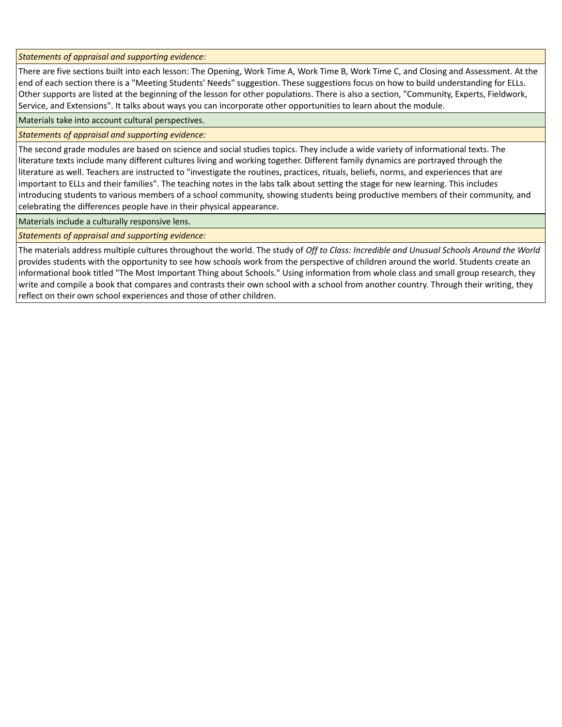*Statements of appraisal and supporting evidence:*

There are five sections built into each lesson: The Opening, Work Time A, Work Time B, Work Time C, and Closing and Assessment. At the end of each section there is a "Meeting Students' Needs" suggestion. These suggestions focus on how to build understanding for ELLs. Other supports are listed at the beginning of the lesson for other populations. There is also a section, "Community, Experts, Fieldwork, Service, and Extensions". It talks about ways you can incorporate other opportunities to learn about the module.

Materials take into account cultural perspectives.

## *Statements of appraisal and supporting evidence:*

The second grade modules are based on science and social studies topics. They include a wide variety of informational texts. The literature texts include many different cultures living and working together. Different family dynamics are portrayed through the literature as well. Teachers are instructed to "investigate the routines, practices, rituals, beliefs, norms, and experiences that are important to ELLs and their families". The teaching notes in the labs talk about setting the stage for new learning. This includes introducing students to various members of a school community, showing students being productive members of their community, and celebrating the differences people have in their physical appearance.

Materials include a culturally responsive lens.

*Statements of appraisal and supporting evidence:*

The materials address multiple cultures throughout the world. The study of *Off to Class: Incredible and Unusual Schools Around the World*  provides students with the opportunity to see how schools work from the perspective of children around the world. Students create an informational book titled "The Most Important Thing about Schools." Using information from whole class and small group research, they write and compile a book that compares and contrasts their own school with a school from another country. Through their writing, they reflect on their own school experiences and those of other children.